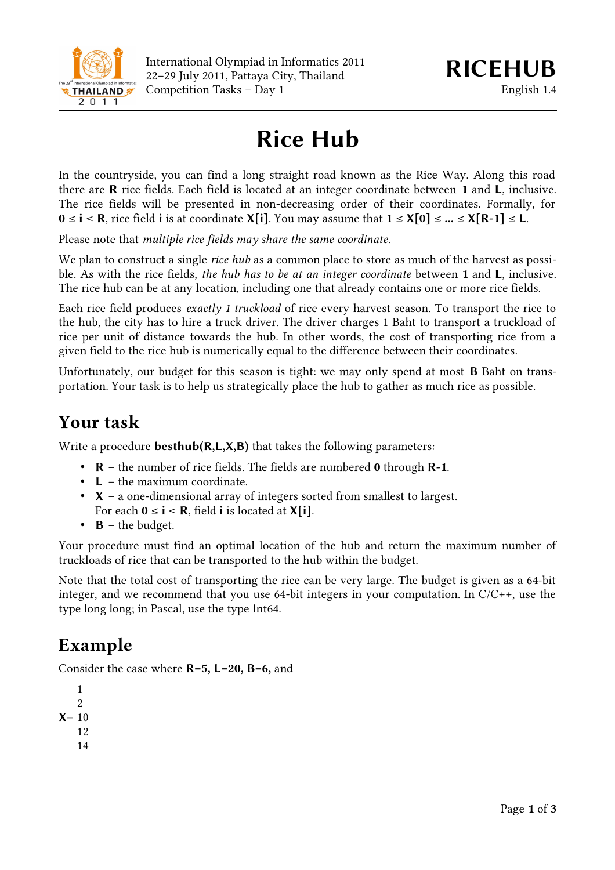

# **Rice Hub**

In the countryside, you can find a long straight road known as the Rice Way. Along this road there are **R** rice fields. Each field is located at an integer coordinate between **1** and **L**, inclusive. The rice fields will be presented in non-decreasing order of their coordinates. Formally, for **0** ≤ **i** < **R**, rice field **i** is at coordinate **X[i]**. You may assume that **1** ≤ **X[0]** ≤ **...** ≤ **X[R-1]** ≤ **L**.

Please note that *multiple rice fields may share the same coordinate*.

We plan to construct a single *rice hub* as a common place to store as much of the harvest as possible. As with the rice fields, *the hub has to be at an integer coordinate* between **1** and **L**, inclusive. The rice hub can be at any location, including one that already contains one or more rice fields.

Each rice field produces *exactly 1 truckload* of rice every harvest season. To transport the rice to the hub, the city has to hire a truck driver. The driver charges 1 Baht to transport a truckload of rice per unit of distance towards the hub. In other words, the cost of transporting rice from a given field to the rice hub is numerically equal to the difference between their coordinates.

Unfortunately, our budget for this season is tight: we may only spend at most **B** Baht on transportation. Your task is to help us strategically place the hub to gather as much rice as possible.

### **Your task**

Write a procedure **besthub(R,L,X,B)** that takes the following parameters:

- **R** the number of rice fields. The fields are numbered **0** through **R-1**.
- **L** the maximum coordinate.
- **X** a one-dimensional array of integers sorted from smallest to largest. For each  $0 \le i \le R$ , field **i** is located at **X**[i].
- **B** the budget.

Your procedure must find an optimal location of the hub and return the maximum number of truckloads of rice that can be transported to the hub within the budget.

Note that the total cost of transporting the rice can be very large. The budget is given as a 64-bit integer, and we recommend that you use 64-bit integers in your computation. In C/C++, use the type long long; in Pascal, use the type Int64.

# **Example**

Consider the case where **R=5, L=20, B=6,** and

```
X=
10
    1
   2
   12
    14
```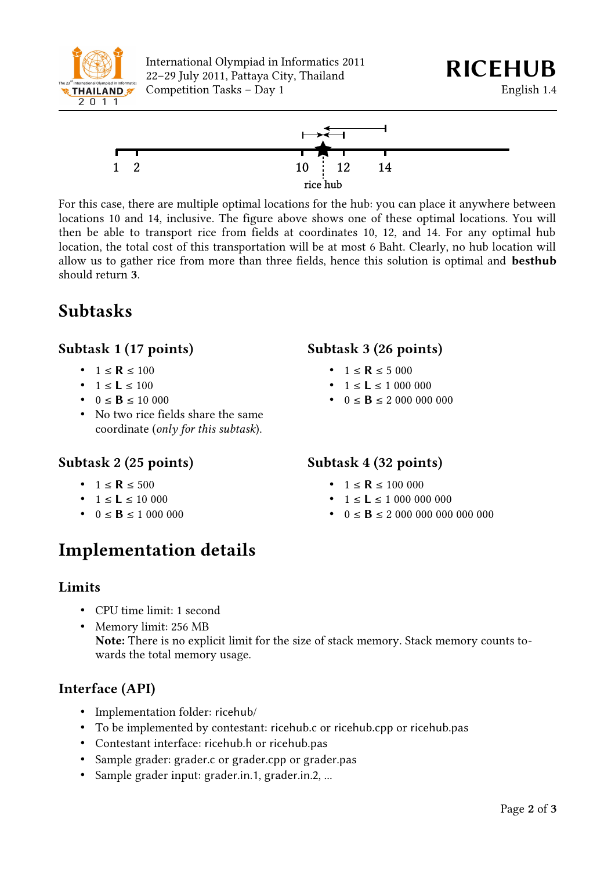

International Olympiad in Informatics 2011 International Olympiad in Informatics 2011<br>22–29 July 2011, Pattaya City, Thailand **RICEHUB** Competition Tasks – Day 1 English 1.4



For this case, there are multiple optimal locations for the hub: you can place it anywhere between locations 10 and 14, inclusive. The figure above shows one of these optimal locations. You will then be able to transport rice from fields at coordinates 10, 12, and 14. For any optimal hub location, the total cost of this transportation will be at most 6 Baht. Clearly, no hub location will allow us to gather rice from more than three fields, hence this solution is optimal and **besthub** should return **3**.

# **Subtasks**

### **Subtask 1 (17 points)**

- $1 \le R \le 100$
- $1 \le L \le 100$
- $0 \le B \le 10000$
- No two rice fields share the same coordinate (*only for this subtask*).

#### **Subtask 2 (25 points)**

- $1 < R < 500$
- $1 \le L \le 10000$
- $0 \leq B \leq 1000000$

# **Implementation details**

#### **Limits**

- CPU time limit: 1 second
- Memory limit: 256 MB **Note:** There is no explicit limit for the size of stack memory. Stack memory counts towards the total memory usage.

#### **Interface (API)**

- Implementation folder: ricehub/
- To be implemented by contestant: ricehub.c or ricehub.cpp or ricehub.pas
- Contestant interface: ricehub.h or ricehub.pas
- Sample grader: grader.c or grader.cpp or grader.pas
- Sample grader input: grader.in.1, grader.in.2, ...

### **Subtask 3 (26 points)**

- $1 \le R \le 5000$
- $1 \le L \le 1000000$
- $0 \leq B \leq 20000000000$

#### **Subtask 4 (32 points)**

- $1 \le R \le 100000$
- $1 \le L \le 10000000000$
- $0 \leq \mathbf{B} \leq 20000000000000000$